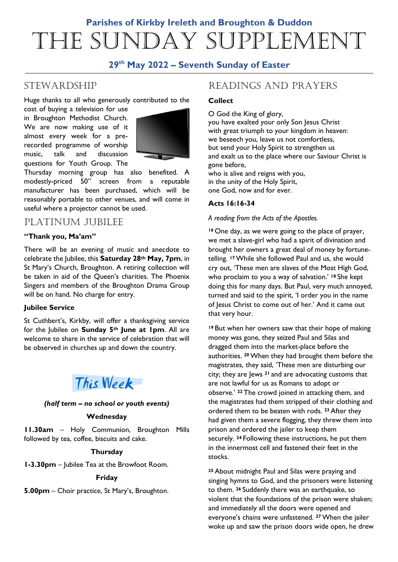# **Parishes of Kirkby Ireleth and Broughton & Duddon** The Sunday Supplement

# **29th May 2022 – Seventh Sunday of Easter**

# **STEWARDSHIP**

Huge thanks to all who generously contributed to the

cost of buying a television for use in Broughton Methodist Church. We are now making use of it almost every week for a prerecorded programme of worship music, talk and discussion questions for Youth Group. The



Thursday morning group has also benefited. A modestly-priced 50" screen from a reputable manufacturer has been purchased, which will be reasonably portable to other venues, and will come in useful where a projector cannot be used.

# PLATINUM JUBILEE

# **"Thank you, Ma'am"**

There will be an evening of music and anecdote to celebrate the Jubilee, this **Saturday 28th May, 7pm**, in St Mary's Church, Broughton. A retiring collection will be taken in aid of the Queen's charities. The Phoenix Singers and members of the Broughton Drama Group will be on hand. No charge for entry.

# **Jubilee Service**

St Cuthbert's, Kirkby, will offer a thanksgiving service for the Jubilee on **Sunday 5th June at 1pm**. All are welcome to share in the service of celebration that will be observed in churches up and down the country.



# *(half term – no school or youth events)*

#### **Wednesday**

**11.30am** – Holy Communion, Broughton Mills followed by tea, coffee, biscuits and cake.

#### **Thursday**

**1-3.30pm** – Jubilee Tea at the Browfoot Room.

#### **Friday**

**5.00pm** – Choir practice, St Mary's, Broughton.

# READINGS AND PRAYERS

## **Collect**

O God the King of glory, you have exalted your only Son Jesus Christ

with great triumph to your kingdom in heaven: we beseech you, leave us not comfortless, but send your Holy Spirit to strengthen us and exalt us to the place where our Saviour Christ is gone before,

who is alive and reigns with you, in the unity of the Holy Spirit, one God, now and for ever.

# **Acts 16:16-34**

*A reading from the Acts of the Apostles.*

**<sup>16</sup>** One day, as we were going to the place of prayer, we met a slave-girl who had a spirit of divination and brought her owners a great deal of money by fortunetelling. **<sup>17</sup>**While she followed Paul and us, she would cry out, 'These men are slaves of the Most High God, who proclaim to you a way of salvation.' **<sup>18</sup>** She kept doing this for many days. But Paul, very much annoyed, turned and said to the spirit, 'I order you in the name of Jesus Christ to come out of her.' And it came out that very hour.

**<sup>19</sup>** But when her owners saw that their hope of making money was gone, they seized Paul and Silas and dragged them into the market-place before the authorities. **<sup>20</sup>**When they had brought them before the magistrates, they said, 'These men are disturbing our city; they are Jews **<sup>21</sup>** and are advocating customs that are not lawful for us as Romans to adopt or observe.' **<sup>22</sup>** The crowd joined in attacking them, and the magistrates had them stripped of their clothing and ordered them to be beaten with rods. **<sup>23</sup>** After they had given them a severe flogging, they threw them into prison and ordered the jailer to keep them securely. **<sup>24</sup>** Following these instructions, he put them in the innermost cell and fastened their feet in the stocks.

**<sup>25</sup>** About midnight Paul and Silas were praying and singing hymns to God, and the prisoners were listening to them. **<sup>26</sup>** Suddenly there was an earthquake, so violent that the foundations of the prison were shaken; and immediately all the doors were opened and everyone's chains were unfastened. **<sup>27</sup>**When the jailer woke up and saw the prison doors wide open, he drew